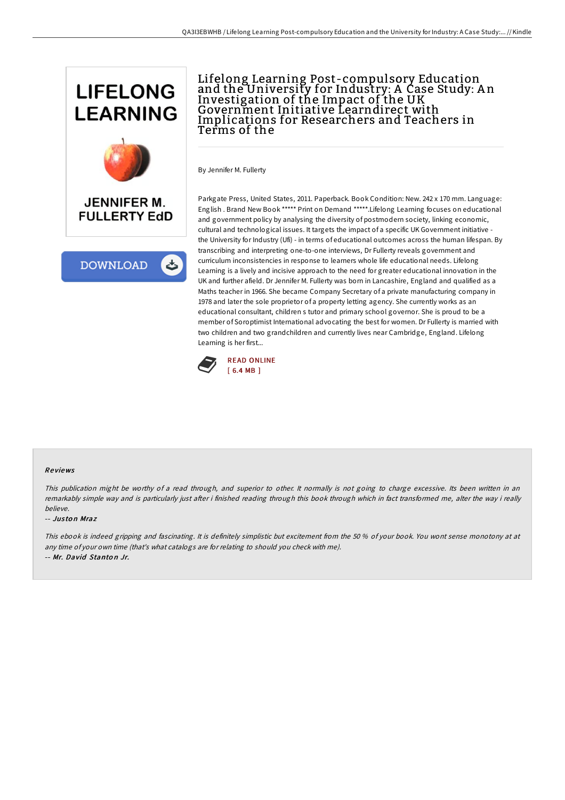

**DOWNLOAD** ٹ

## Lifelong Learning Post-compulsory Education and the University for Industry: A Case Study: A n Investigation of the Impact of the UK Government Initiative Learndirect with Implications for Researchers and Teachers in Terms of the

By Jennifer M. Fullerty

Parkgate Press, United States, 2011. Paperback. Book Condition: New. 242 x 170 mm. Language: English . Brand New Book \*\*\*\*\* Print on Demand \*\*\*\*\*.Lifelong Learning focuses on educational and government policy by analysing the diversity of postmodern society, linking economic, cultural and technological issues. It targets the impact of a specific UK Government initiative the University for Industry (Ufi) - in terms of educational outcomes across the human lifespan. By transcribing and interpreting one-to-one interviews, Dr Fullerty reveals government and curriculum inconsistencies in response to learners whole life educational needs. Lifelong Learning is a lively and incisive approach to the need for greater educational innovation in the UK and further afield. Dr Jennifer M. Fullerty was born in Lancashire, England and qualified as a Maths teacher in 1966. She became Company Secretary of a private manufacturing company in 1978 and later the sole proprietor of a property letting agency. She currently works as an educational consultant, children s tutor and primary school governor. She is proud to be a member of Soroptimist International advocating the best for women. Dr Fullerty is married with two children and two grandchildren and currently lives near Cambridge, England. Lifelong Learning is her first...



## Re views

This publication might be worthy of <sup>a</sup> read through, and superior to other. It normally is not going to charge excessive. Its been written in an remarkably simple way and is particularly just after i finished reading through this book through which in fact transformed me, alter the way i really believe.

## -- Jus to n Mraz

This ebook is indeed gripping and fascinating. It is definitely simplistic but excitement from the 50 % of your book. You wont sense monotony at at any time of your own time (that's what catalogs are for relating to should you check with me). -- Mr. David Stanto <sup>n</sup> Jr.